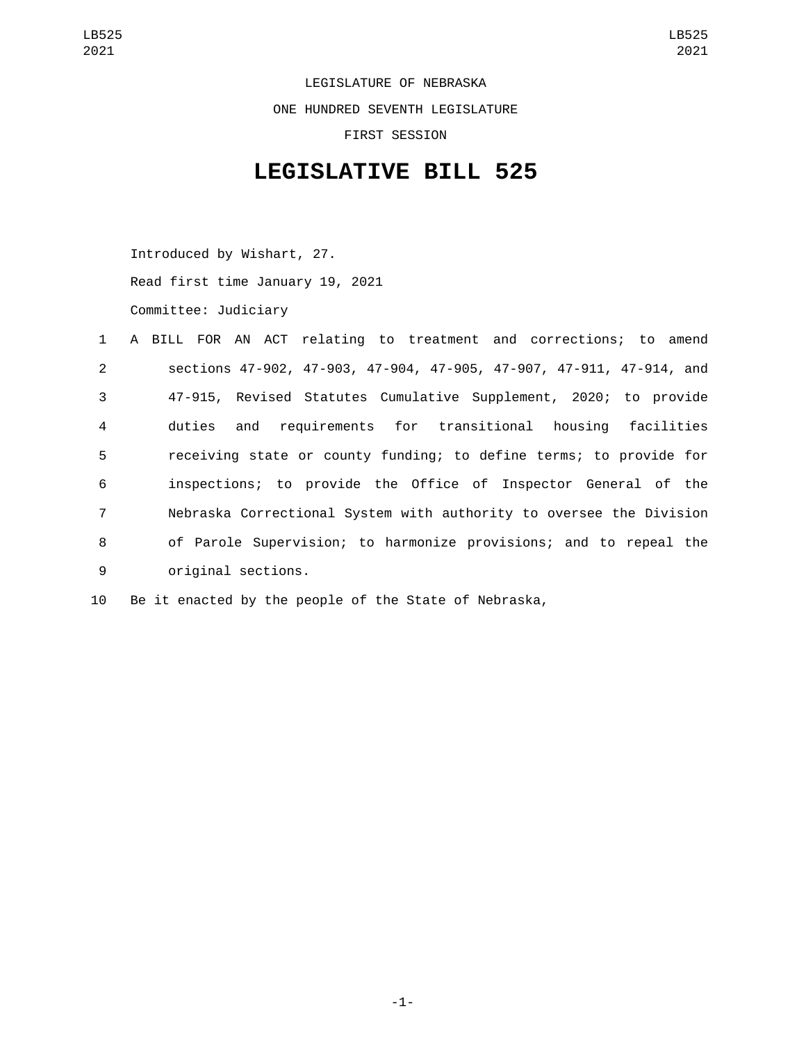LEGISLATURE OF NEBRASKA ONE HUNDRED SEVENTH LEGISLATURE FIRST SESSION

## **LEGISLATIVE BILL 525**

Introduced by Wishart, 27.

Read first time January 19, 2021

Committee: Judiciary

|                |  |                    | 1 A BILL FOR AN ACT relating to treatment and corrections; to amend  |  |  |  |
|----------------|--|--------------------|----------------------------------------------------------------------|--|--|--|
| $\overline{2}$ |  |                    | sections 47-902, 47-903, 47-904, 47-905, 47-907, 47-911, 47-914, and |  |  |  |
| $\mathbf{3}$   |  |                    | 47-915, Revised Statutes Cumulative Supplement, 2020; to provide     |  |  |  |
| $\overline{4}$ |  |                    | duties and requirements for transitional housing facilities          |  |  |  |
| 5              |  |                    | receiving state or county funding; to define terms; to provide for   |  |  |  |
| 6              |  |                    | inspections; to provide the Office of Inspector General of the       |  |  |  |
| $\overline{7}$ |  |                    | Nebraska Correctional System with authority to oversee the Division  |  |  |  |
| 8              |  |                    | of Parole Supervision; to harmonize provisions; and to repeal the    |  |  |  |
| 9              |  | original sections. |                                                                      |  |  |  |

10 Be it enacted by the people of the State of Nebraska,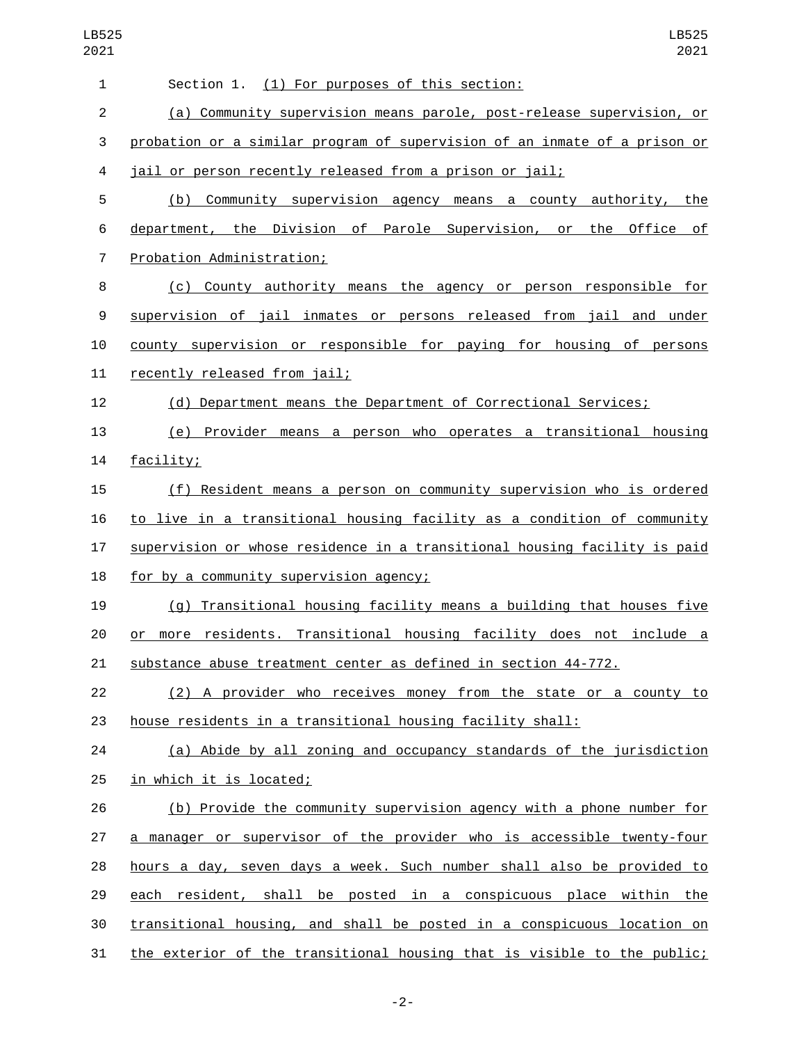| 1              | Section 1. (1) For purposes of this section:                              |
|----------------|---------------------------------------------------------------------------|
| $\overline{2}$ | (a) Community supervision means parole, post-release supervision, or      |
| 3              | probation or a similar program of supervision of an inmate of a prison or |
| 4              | jail or person recently released from a prison or jail;                   |
| 5              | (b) Community supervision agency means a county authority, the            |
| 6              | department, the Division of Parole Supervision, or the<br>Office<br>оf    |
| $\overline{7}$ | Probation Administration;                                                 |
| 8              | (c) County authority means the agency or person responsible for           |
| 9              | supervision of jail inmates or persons released from jail and under       |
| 10             | county supervision or responsible for paying for housing of persons       |
| 11             | recently released from jail;                                              |
| 12             | (d) Department means the Department of Correctional Services;             |
| 13             | (e) Provider means a person who operates a transitional housing           |
| 14             | facility;                                                                 |
| 15             | (f) Resident means a person on community supervision who is ordered       |
| 16             | to live in a transitional housing facility as a condition of community    |
| 17             | supervision or whose residence in a transitional housing facility is paid |
| 18             | for by a community supervision agency;                                    |
| 19             | (g) Transitional housing facility means a building that houses five       |
| 20             | more residents. Transitional housing facility does not include a<br>or    |
| 21             | substance abuse treatment center as defined in section 44-772.            |
| 22             | (2) A provider who receives money from the state or a county to           |
| 23             | house residents in a transitional housing facility shall:                 |
| 24             | (a) Abide by all zoning and occupancy standards of the jurisdiction       |
| 25             | in which it is located;                                                   |
| 26             | (b) Provide the community supervision agency with a phone number for      |
| 27             | a manager or supervisor of the provider who is accessible twenty-four     |
| 28             | hours a day, seven days a week. Such number shall also be provided to     |
| 29             | each resident, shall be posted in a conspicuous place within the          |
| 30             | transitional housing, and shall be posted in a conspicuous location on    |
| 31             | the exterior of the transitional housing that is visible to the public;   |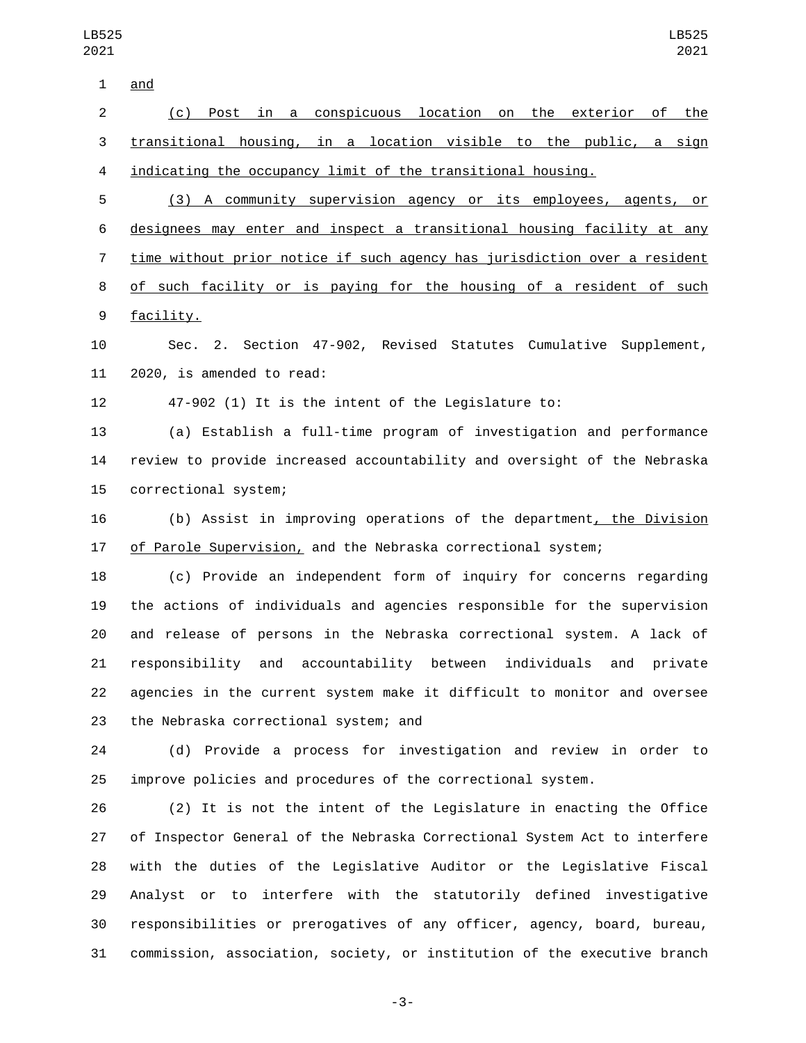| and |  |
|-----|--|
|     |  |

 (c) Post in a conspicuous location on the exterior of the transitional housing, in a location visible to the public, a sign indicating the occupancy limit of the transitional housing.

 (3) A community supervision agency or its employees, agents, or designees may enter and inspect a transitional housing facility at any time without prior notice if such agency has jurisdiction over a resident 8 of such facility or is paying for the housing of a resident of such 9 facility.

 Sec. 2. Section 47-902, Revised Statutes Cumulative Supplement, 11 2020, is amended to read:

47-902 (1) It is the intent of the Legislature to:

 (a) Establish a full-time program of investigation and performance review to provide increased accountability and oversight of the Nebraska 15 correctional system;

 (b) Assist in improving operations of the department, the Division of Parole Supervision, and the Nebraska correctional system;

 (c) Provide an independent form of inquiry for concerns regarding the actions of individuals and agencies responsible for the supervision and release of persons in the Nebraska correctional system. A lack of responsibility and accountability between individuals and private agencies in the current system make it difficult to monitor and oversee 23 the Nebraska correctional system; and

 (d) Provide a process for investigation and review in order to improve policies and procedures of the correctional system.

 (2) It is not the intent of the Legislature in enacting the Office of Inspector General of the Nebraska Correctional System Act to interfere with the duties of the Legislative Auditor or the Legislative Fiscal Analyst or to interfere with the statutorily defined investigative responsibilities or prerogatives of any officer, agency, board, bureau, commission, association, society, or institution of the executive branch

-3-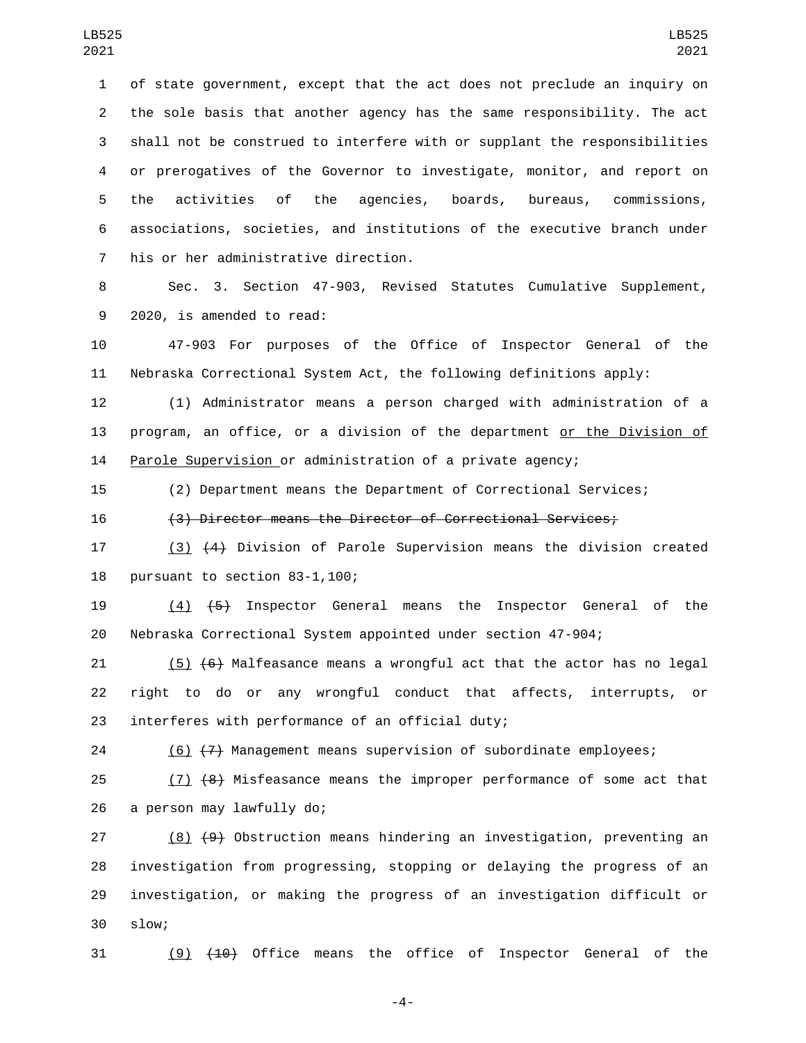of state government, except that the act does not preclude an inquiry on the sole basis that another agency has the same responsibility. The act shall not be construed to interfere with or supplant the responsibilities or prerogatives of the Governor to investigate, monitor, and report on the activities of the agencies, boards, bureaus, commissions, associations, societies, and institutions of the executive branch under 7 his or her administrative direction.

 Sec. 3. Section 47-903, Revised Statutes Cumulative Supplement, 9 2020, is amended to read:

 47-903 For purposes of the Office of Inspector General of the Nebraska Correctional System Act, the following definitions apply:

 (1) Administrator means a person charged with administration of a program, an office, or a division of the department or the Division of Parole Supervision or administration of a private agency;

(2) Department means the Department of Correctional Services;

(3) Director means the Director of Correctional Services;

 (3) (4) Division of Parole Supervision means the division created 18 pursuant to section 83-1,100;

 (4) (5) Inspector General means the Inspector General of the Nebraska Correctional System appointed under section 47-904;

21  $(5)$   $(6)$  Malfeasance means a wrongful act that the actor has no legal right to do or any wrongful conduct that affects, interrupts, or 23 interferes with performance of an official duty;

(6) (7) Management means supervision of subordinate employees;

25 (7) (8) Misfeasance means the improper performance of some act that 26 a person may lawfully do;

 (8) (9) Obstruction means hindering an investigation, preventing an investigation from progressing, stopping or delaying the progress of an investigation, or making the progress of an investigation difficult or slow;30

(9) (10) Office means the office of Inspector General of the

-4-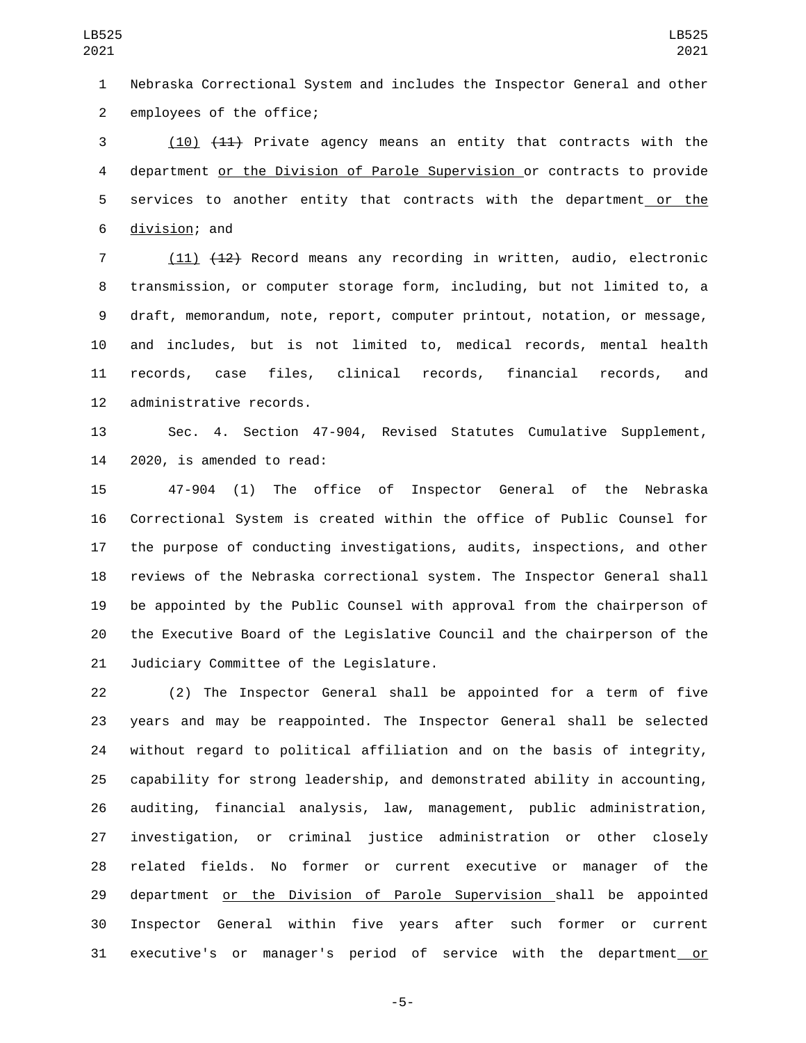Nebraska Correctional System and includes the Inspector General and other 2 employees of the office;

 (10) (11) Private agency means an entity that contracts with the department or the Division of Parole Supervision or contracts to provide 5 services to another entity that contracts with the department or the 6 division; and

 (11) (12) Record means any recording in written, audio, electronic transmission, or computer storage form, including, but not limited to, a draft, memorandum, note, report, computer printout, notation, or message, and includes, but is not limited to, medical records, mental health records, case files, clinical records, financial records, and 12 administrative records.

 Sec. 4. Section 47-904, Revised Statutes Cumulative Supplement, 2020, is amended to read:

 47-904 (1) The office of Inspector General of the Nebraska Correctional System is created within the office of Public Counsel for the purpose of conducting investigations, audits, inspections, and other reviews of the Nebraska correctional system. The Inspector General shall be appointed by the Public Counsel with approval from the chairperson of the Executive Board of the Legislative Council and the chairperson of the 21 Judiciary Committee of the Legislature.

 (2) The Inspector General shall be appointed for a term of five years and may be reappointed. The Inspector General shall be selected without regard to political affiliation and on the basis of integrity, capability for strong leadership, and demonstrated ability in accounting, auditing, financial analysis, law, management, public administration, investigation, or criminal justice administration or other closely related fields. No former or current executive or manager of the 29 department or the Division of Parole Supervision shall be appointed Inspector General within five years after such former or current 31 executive's or manager's period of service with the department or

-5-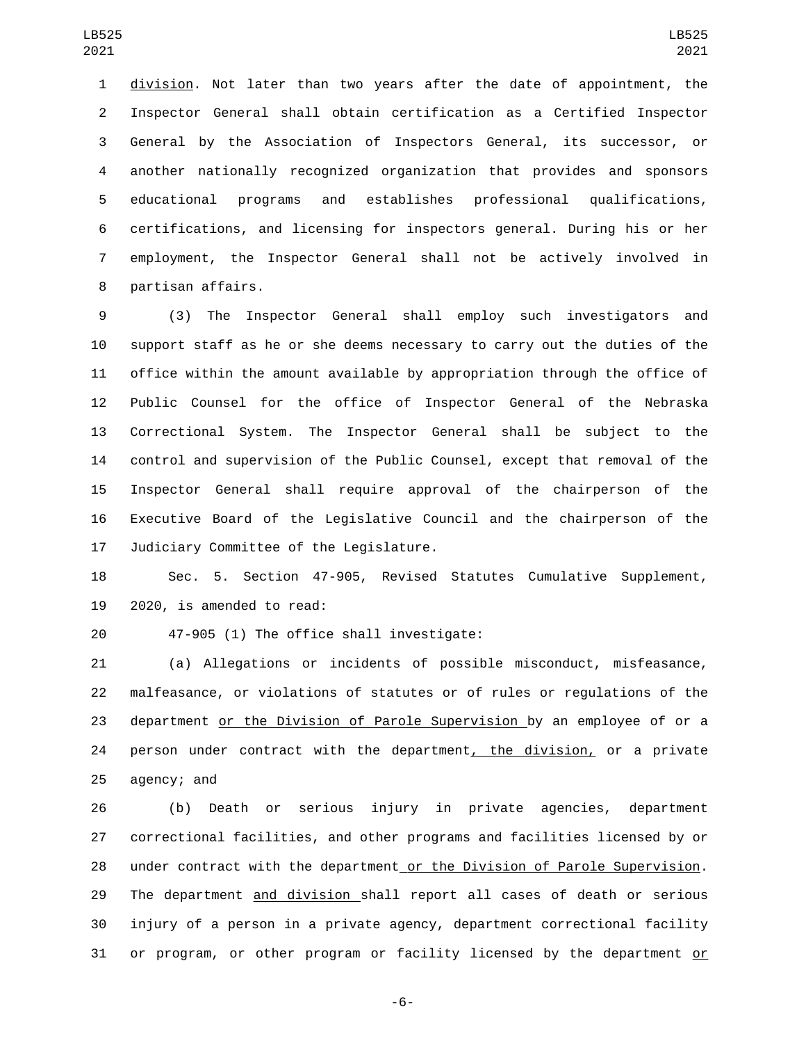division. Not later than two years after the date of appointment, the Inspector General shall obtain certification as a Certified Inspector General by the Association of Inspectors General, its successor, or another nationally recognized organization that provides and sponsors educational programs and establishes professional qualifications, certifications, and licensing for inspectors general. During his or her employment, the Inspector General shall not be actively involved in 8 partisan affairs.

 (3) The Inspector General shall employ such investigators and support staff as he or she deems necessary to carry out the duties of the office within the amount available by appropriation through the office of Public Counsel for the office of Inspector General of the Nebraska Correctional System. The Inspector General shall be subject to the control and supervision of the Public Counsel, except that removal of the Inspector General shall require approval of the chairperson of the Executive Board of the Legislative Council and the chairperson of the 17 Judiciary Committee of the Legislature.

 Sec. 5. Section 47-905, Revised Statutes Cumulative Supplement, 2020, is amended to read:

47-905 (1) The office shall investigate:20

 (a) Allegations or incidents of possible misconduct, misfeasance, malfeasance, or violations of statutes or of rules or regulations of the department or the Division of Parole Supervision by an employee of or a 24 person under contract with the department, the division, or a private agency; and

 (b) Death or serious injury in private agencies, department correctional facilities, and other programs and facilities licensed by or under contract with the department or the Division of Parole Supervision. The department and division shall report all cases of death or serious injury of a person in a private agency, department correctional facility or program, or other program or facility licensed by the department or

-6-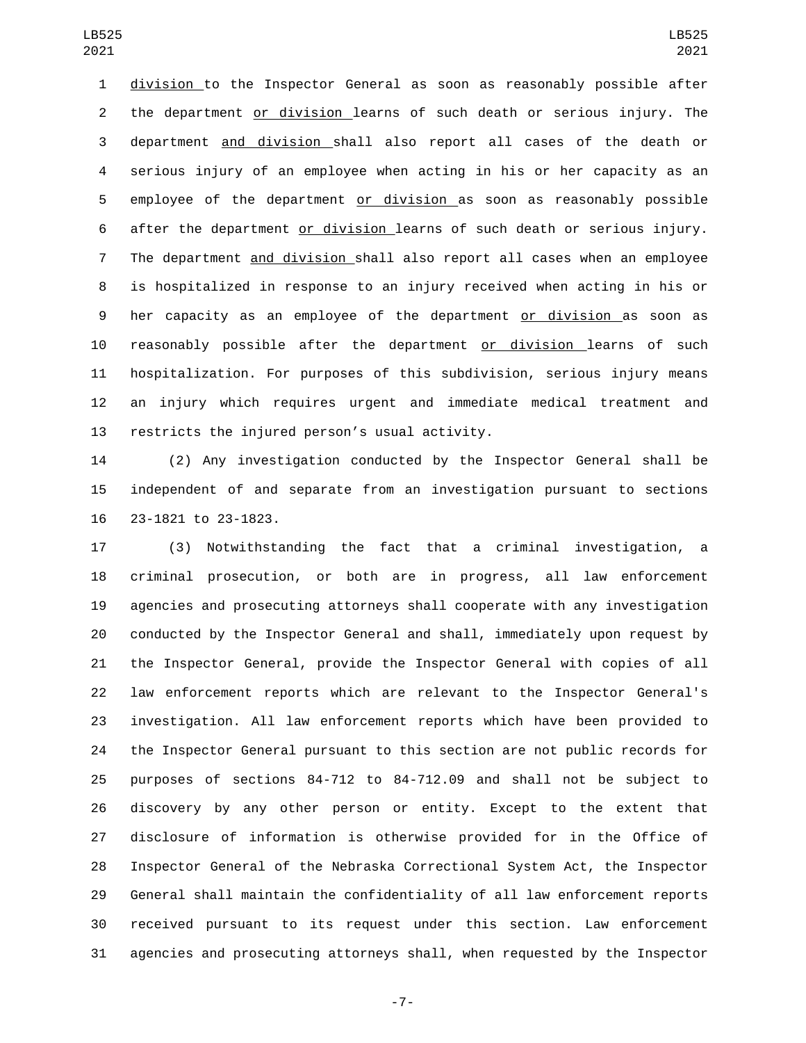division to the Inspector General as soon as reasonably possible after the department or division learns of such death or serious injury. The department and division shall also report all cases of the death or serious injury of an employee when acting in his or her capacity as an employee of the department or division as soon as reasonably possible after the department or division learns of such death or serious injury. The department and division shall also report all cases when an employee is hospitalized in response to an injury received when acting in his or her capacity as an employee of the department or division as soon as reasonably possible after the department or division learns of such hospitalization. For purposes of this subdivision, serious injury means an injury which requires urgent and immediate medical treatment and 13 restricts the injured person's usual activity.

 (2) Any investigation conducted by the Inspector General shall be independent of and separate from an investigation pursuant to sections 23-1821 to 23-1823.16

 (3) Notwithstanding the fact that a criminal investigation, a criminal prosecution, or both are in progress, all law enforcement agencies and prosecuting attorneys shall cooperate with any investigation conducted by the Inspector General and shall, immediately upon request by the Inspector General, provide the Inspector General with copies of all law enforcement reports which are relevant to the Inspector General's investigation. All law enforcement reports which have been provided to the Inspector General pursuant to this section are not public records for purposes of sections 84-712 to 84-712.09 and shall not be subject to discovery by any other person or entity. Except to the extent that disclosure of information is otherwise provided for in the Office of Inspector General of the Nebraska Correctional System Act, the Inspector General shall maintain the confidentiality of all law enforcement reports received pursuant to its request under this section. Law enforcement agencies and prosecuting attorneys shall, when requested by the Inspector

-7-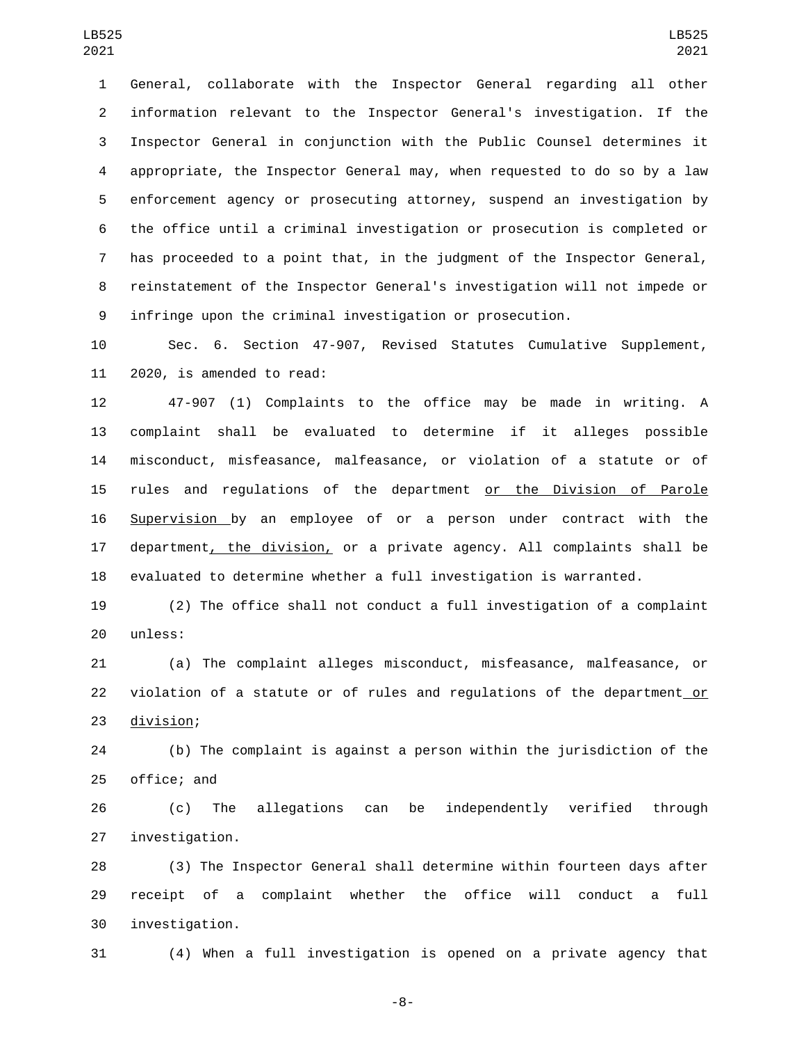General, collaborate with the Inspector General regarding all other information relevant to the Inspector General's investigation. If the Inspector General in conjunction with the Public Counsel determines it appropriate, the Inspector General may, when requested to do so by a law enforcement agency or prosecuting attorney, suspend an investigation by the office until a criminal investigation or prosecution is completed or has proceeded to a point that, in the judgment of the Inspector General, reinstatement of the Inspector General's investigation will not impede or infringe upon the criminal investigation or prosecution.

 Sec. 6. Section 47-907, Revised Statutes Cumulative Supplement, 11 2020, is amended to read:

 47-907 (1) Complaints to the office may be made in writing. A complaint shall be evaluated to determine if it alleges possible misconduct, misfeasance, malfeasance, or violation of a statute or of rules and regulations of the department or the Division of Parole Supervision by an employee of or a person under contract with the 17 department<u>, the division,</u> or a private agency. All complaints shall be evaluated to determine whether a full investigation is warranted.

 (2) The office shall not conduct a full investigation of a complaint 20 unless:

 (a) The complaint alleges misconduct, misfeasance, malfeasance, or violation of a statute or of rules and regulations of the department or 23 division;

 (b) The complaint is against a person within the jurisdiction of the 25 office; and

 (c) The allegations can be independently verified through 27 investigation.

 (3) The Inspector General shall determine within fourteen days after receipt of a complaint whether the office will conduct a full investigation.30

(4) When a full investigation is opened on a private agency that

-8-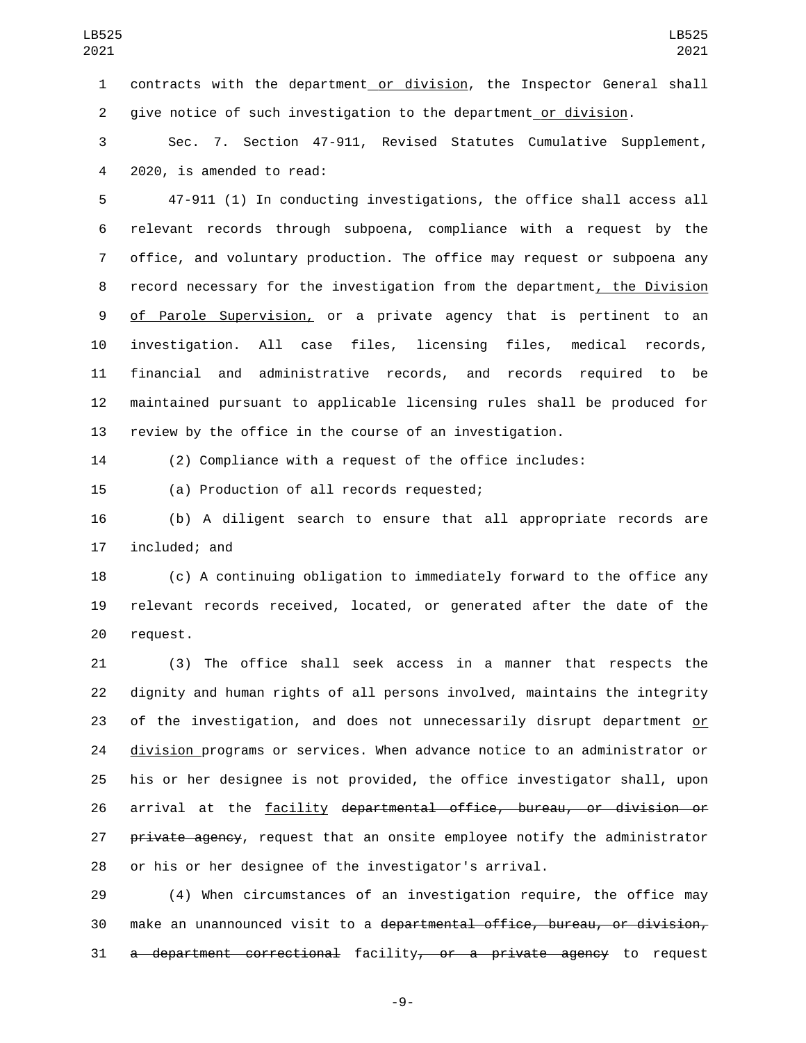contracts with the department or division, the Inspector General shall give notice of such investigation to the department or division.

 Sec. 7. Section 47-911, Revised Statutes Cumulative Supplement, 4 2020, is amended to read:

 47-911 (1) In conducting investigations, the office shall access all relevant records through subpoena, compliance with a request by the office, and voluntary production. The office may request or subpoena any record necessary for the investigation from the department, the Division of Parole Supervision, or a private agency that is pertinent to an investigation. All case files, licensing files, medical records, financial and administrative records, and records required to be maintained pursuant to applicable licensing rules shall be produced for review by the office in the course of an investigation.

(2) Compliance with a request of the office includes:

(a) Production of all records requested;15

 (b) A diligent search to ensure that all appropriate records are 17 included; and

 (c) A continuing obligation to immediately forward to the office any relevant records received, located, or generated after the date of the 20 request.

 (3) The office shall seek access in a manner that respects the dignity and human rights of all persons involved, maintains the integrity 23 of the investigation, and does not unnecessarily disrupt department or division programs or services. When advance notice to an administrator or his or her designee is not provided, the office investigator shall, upon arrival at the facility departmental office, bureau, or division or 27 private agency, request that an onsite employee notify the administrator or his or her designee of the investigator's arrival.

 (4) When circumstances of an investigation require, the office may make an unannounced visit to a departmental office, bureau, or division, a department correctional facility, or a private agency to request

-9-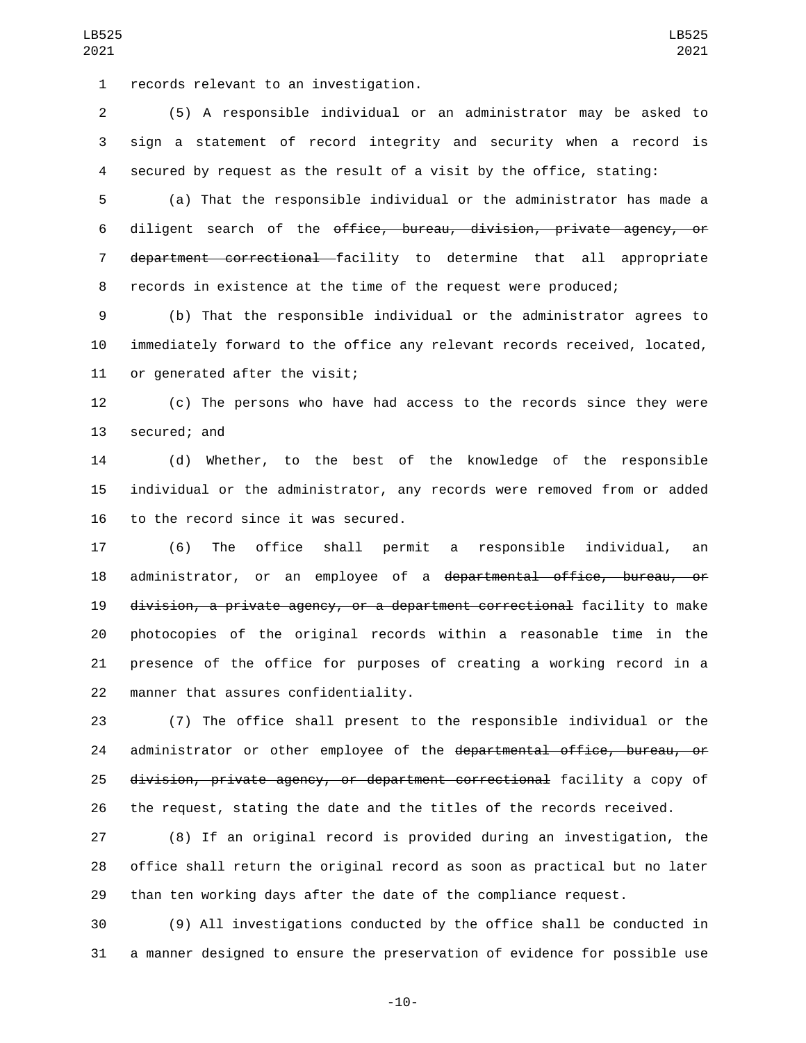1 records relevant to an investigation.

 (5) A responsible individual or an administrator may be asked to sign a statement of record integrity and security when a record is secured by request as the result of a visit by the office, stating:

LB525 

 (a) That the responsible individual or the administrator has made a diligent search of the office, bureau, division, private agency, or 7 department correctional facility to determine that all appropriate records in existence at the time of the request were produced;

 (b) That the responsible individual or the administrator agrees to immediately forward to the office any relevant records received, located, 11 or generated after the visit;

 (c) The persons who have had access to the records since they were 13 secured; and

 (d) Whether, to the best of the knowledge of the responsible individual or the administrator, any records were removed from or added 16 to the record since it was secured.

 (6) The office shall permit a responsible individual, an administrator, or an employee of a departmental office, bureau, or division, a private agency, or a department correctional facility to make photocopies of the original records within a reasonable time in the presence of the office for purposes of creating a working record in a 22 manner that assures confidentiality.

 (7) The office shall present to the responsible individual or the 24 administrator or other employee of the departmental office, bureau, or division, private agency, or department correctional facility a copy of the request, stating the date and the titles of the records received.

 (8) If an original record is provided during an investigation, the office shall return the original record as soon as practical but no later than ten working days after the date of the compliance request.

 (9) All investigations conducted by the office shall be conducted in a manner designed to ensure the preservation of evidence for possible use

-10-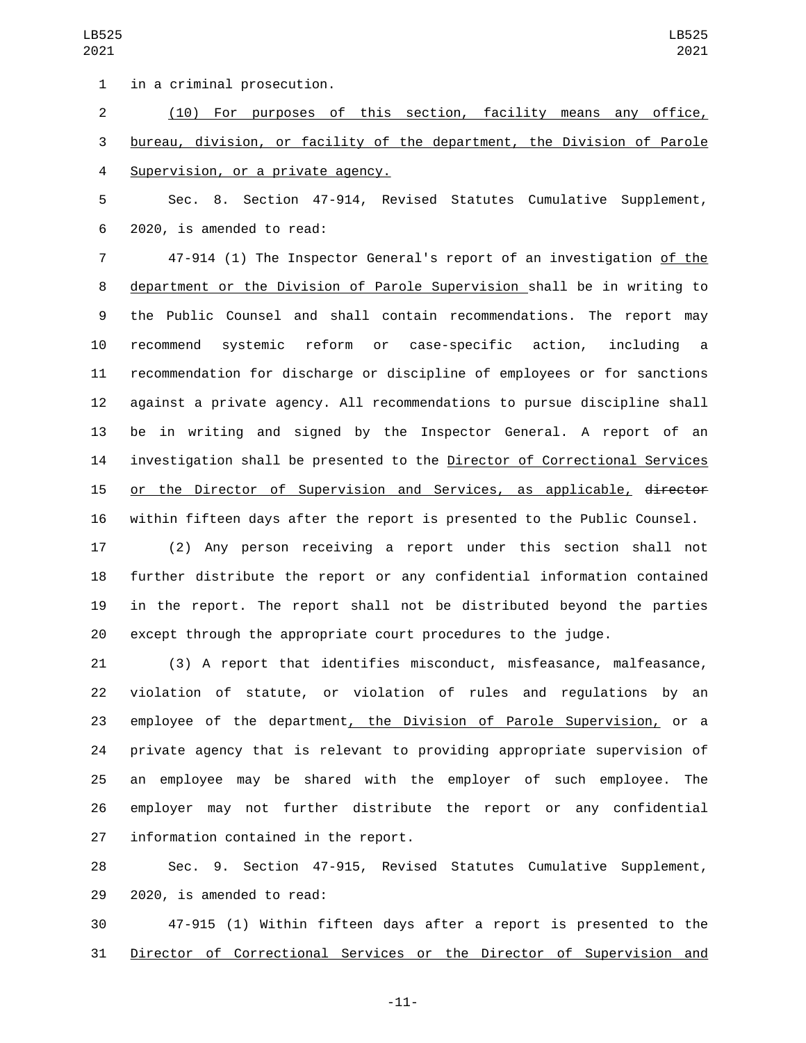1 in a criminal prosecution.

 (10) For purposes of this section, facility means any office, bureau, division, or facility of the department, the Division of Parole 4 Supervision, or a private agency.

 Sec. 8. Section 47-914, Revised Statutes Cumulative Supplement, 2020, is amended to read:6

 47-914 (1) The Inspector General's report of an investigation of the department or the Division of Parole Supervision shall be in writing to the Public Counsel and shall contain recommendations. The report may recommend systemic reform or case-specific action, including a recommendation for discharge or discipline of employees or for sanctions against a private agency. All recommendations to pursue discipline shall be in writing and signed by the Inspector General. A report of an investigation shall be presented to the Director of Correctional Services 15 or the Director of Supervision and Services, as applicable, director within fifteen days after the report is presented to the Public Counsel.

 (2) Any person receiving a report under this section shall not further distribute the report or any confidential information contained in the report. The report shall not be distributed beyond the parties except through the appropriate court procedures to the judge.

 (3) A report that identifies misconduct, misfeasance, malfeasance, violation of statute, or violation of rules and regulations by an 23 employee of the department<u>, the Division of Parole Supervision,</u> or a private agency that is relevant to providing appropriate supervision of an employee may be shared with the employer of such employee. The employer may not further distribute the report or any confidential 27 information contained in the report.

 Sec. 9. Section 47-915, Revised Statutes Cumulative Supplement, 29 2020, is amended to read:

 47-915 (1) Within fifteen days after a report is presented to the Director of Correctional Services or the Director of Supervision and

-11-